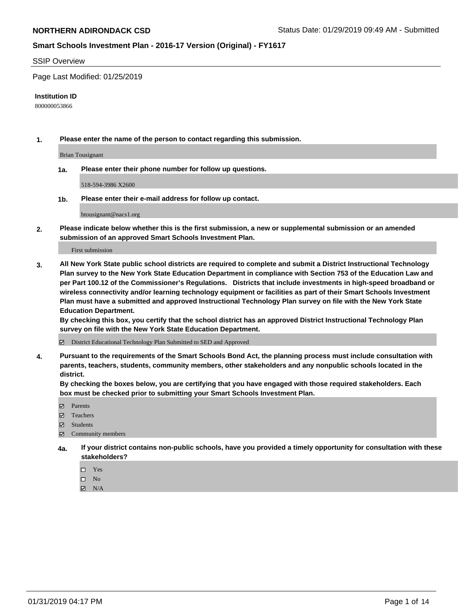#### SSIP Overview

Page Last Modified: 01/25/2019

#### **Institution ID**

800000053866

**1. Please enter the name of the person to contact regarding this submission.**

Brian Tousignant

**1a. Please enter their phone number for follow up questions.**

518-594-3986 X2600

**1b. Please enter their e-mail address for follow up contact.**

btousignant@nacs1.org

**2. Please indicate below whether this is the first submission, a new or supplemental submission or an amended submission of an approved Smart Schools Investment Plan.**

First submission

**3. All New York State public school districts are required to complete and submit a District Instructional Technology Plan survey to the New York State Education Department in compliance with Section 753 of the Education Law and per Part 100.12 of the Commissioner's Regulations. Districts that include investments in high-speed broadband or wireless connectivity and/or learning technology equipment or facilities as part of their Smart Schools Investment Plan must have a submitted and approved Instructional Technology Plan survey on file with the New York State Education Department.** 

**By checking this box, you certify that the school district has an approved District Instructional Technology Plan survey on file with the New York State Education Department.**

District Educational Technology Plan Submitted to SED and Approved

**4. Pursuant to the requirements of the Smart Schools Bond Act, the planning process must include consultation with parents, teachers, students, community members, other stakeholders and any nonpublic schools located in the district.** 

**By checking the boxes below, you are certifying that you have engaged with those required stakeholders. Each box must be checked prior to submitting your Smart Schools Investment Plan.**

- **□** Parents
- Teachers
- Students
- $\boxtimes$  Community members
- **4a. If your district contains non-public schools, have you provided a timely opportunity for consultation with these stakeholders?**
	- $\Box$  Yes
	- $\qquad \qquad$  No
	- $\blacksquare$  N/A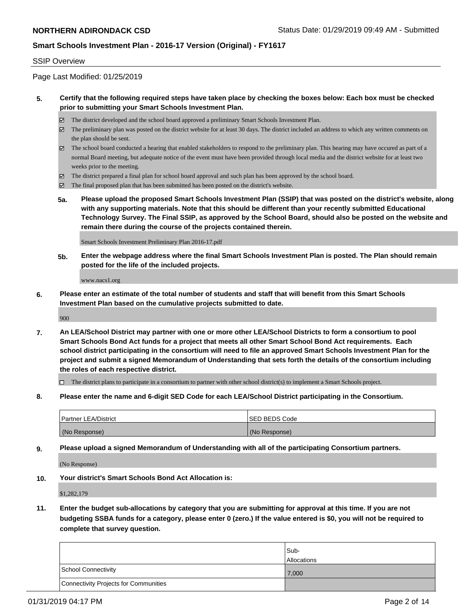#### SSIP Overview

Page Last Modified: 01/25/2019

#### **5. Certify that the following required steps have taken place by checking the boxes below: Each box must be checked prior to submitting your Smart Schools Investment Plan.**

- The district developed and the school board approved a preliminary Smart Schools Investment Plan.
- $\boxtimes$  The preliminary plan was posted on the district website for at least 30 days. The district included an address to which any written comments on the plan should be sent.
- $\boxtimes$  The school board conducted a hearing that enabled stakeholders to respond to the preliminary plan. This hearing may have occured as part of a normal Board meeting, but adequate notice of the event must have been provided through local media and the district website for at least two weeks prior to the meeting.
- The district prepared a final plan for school board approval and such plan has been approved by the school board.
- $\boxtimes$  The final proposed plan that has been submitted has been posted on the district's website.
- **5a. Please upload the proposed Smart Schools Investment Plan (SSIP) that was posted on the district's website, along with any supporting materials. Note that this should be different than your recently submitted Educational Technology Survey. The Final SSIP, as approved by the School Board, should also be posted on the website and remain there during the course of the projects contained therein.**

Smart Schools Investment Preliminary Plan 2016-17.pdf

**5b. Enter the webpage address where the final Smart Schools Investment Plan is posted. The Plan should remain posted for the life of the included projects.**

www.nacs1.org

**6. Please enter an estimate of the total number of students and staff that will benefit from this Smart Schools Investment Plan based on the cumulative projects submitted to date.**

900

**7. An LEA/School District may partner with one or more other LEA/School Districts to form a consortium to pool Smart Schools Bond Act funds for a project that meets all other Smart School Bond Act requirements. Each school district participating in the consortium will need to file an approved Smart Schools Investment Plan for the project and submit a signed Memorandum of Understanding that sets forth the details of the consortium including the roles of each respective district.**

 $\Box$  The district plans to participate in a consortium to partner with other school district(s) to implement a Smart Schools project.

**8. Please enter the name and 6-digit SED Code for each LEA/School District participating in the Consortium.**

| <b>Partner LEA/District</b> | <b>ISED BEDS Code</b> |
|-----------------------------|-----------------------|
| (No Response)               | (No Response)         |

**9. Please upload a signed Memorandum of Understanding with all of the participating Consortium partners.**

(No Response)

**10. Your district's Smart Schools Bond Act Allocation is:**

\$1,282,179

**11. Enter the budget sub-allocations by category that you are submitting for approval at this time. If you are not budgeting SSBA funds for a category, please enter 0 (zero.) If the value entered is \$0, you will not be required to complete that survey question.**

|                                              | Sub-               |
|----------------------------------------------|--------------------|
|                                              | <b>Allocations</b> |
| <b>School Connectivity</b>                   | 7,000              |
| <b>Connectivity Projects for Communities</b> |                    |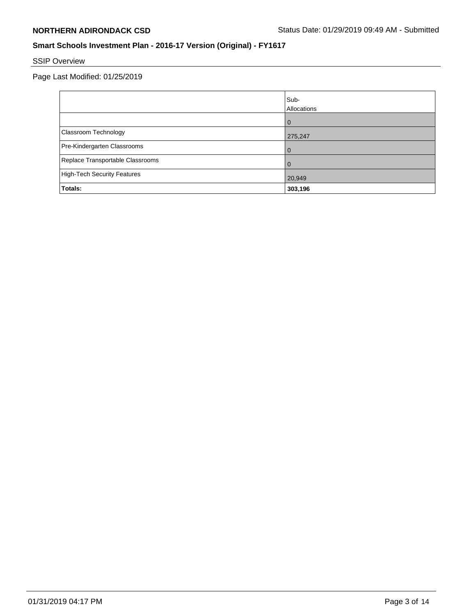# SSIP Overview

|                                    | Sub-<br>Allocations |
|------------------------------------|---------------------|
|                                    | 0                   |
| Classroom Technology               | 275,247             |
| Pre-Kindergarten Classrooms        | $\Omega$            |
| Replace Transportable Classrooms   | 0                   |
| <b>High-Tech Security Features</b> | 20,949              |
| Totals:                            | 303,196             |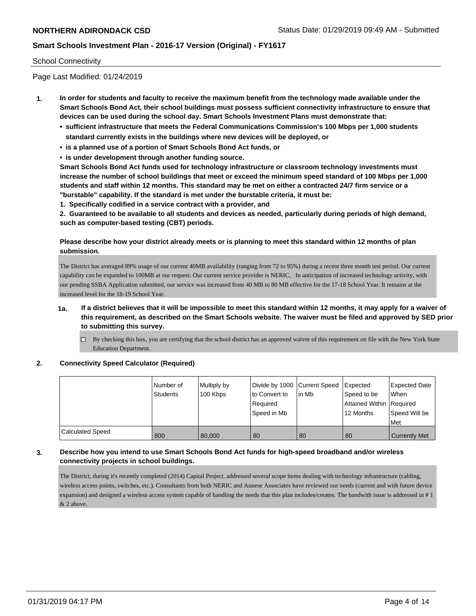#### School Connectivity

Page Last Modified: 01/24/2019

- **1. In order for students and faculty to receive the maximum benefit from the technology made available under the Smart Schools Bond Act, their school buildings must possess sufficient connectivity infrastructure to ensure that devices can be used during the school day. Smart Schools Investment Plans must demonstrate that:**
	- **• sufficient infrastructure that meets the Federal Communications Commission's 100 Mbps per 1,000 students standard currently exists in the buildings where new devices will be deployed, or**
	- **• is a planned use of a portion of Smart Schools Bond Act funds, or**
	- **• is under development through another funding source.**

**Smart Schools Bond Act funds used for technology infrastructure or classroom technology investments must increase the number of school buildings that meet or exceed the minimum speed standard of 100 Mbps per 1,000 students and staff within 12 months. This standard may be met on either a contracted 24/7 firm service or a "burstable" capability. If the standard is met under the burstable criteria, it must be:**

**1. Specifically codified in a service contract with a provider, and**

**2. Guaranteed to be available to all students and devices as needed, particularly during periods of high demand, such as computer-based testing (CBT) periods.**

#### **Please describe how your district already meets or is planning to meet this standard within 12 months of plan submission.**

The District has averaged 89% usage of our current 40MB availability (ranging from 72 to 95%) during a recent three month test period. Our current capability can be expanded to 100MB at our request. Our current service provider is NERIC, In anticipation of increased technology activity, with our pending SSBA Application submitted, our service was increased from 40 MB to 80 MB effective for the 17-18 School Year. It remains at the increased level for the 18-19 School Year.

- **1a. If a district believes that it will be impossible to meet this standard within 12 months, it may apply for a waiver of this requirement, as described on the Smart Schools website. The waiver must be filed and approved by SED prior to submitting this survey.**
	- $\Box$  By checking this box, you are certifying that the school district has an approved waiver of this requirement on file with the New York State Education Department.

#### **2. Connectivity Speed Calculator (Required)**

|                         | Number of<br>Students | Multiply by<br>100 Kbps | Divide by 1000 Current Speed<br>to Convert to<br>Required<br>Speed in Mb | l in Mb | Expected<br>Speed to be<br>Attained Within Required<br>12 Months | Expected Date<br><b>When</b><br>Speed Will be<br>Met |
|-------------------------|-----------------------|-------------------------|--------------------------------------------------------------------------|---------|------------------------------------------------------------------|------------------------------------------------------|
| <b>Calculated Speed</b> | 800                   | 80,000                  | 80                                                                       | 80      | 80                                                               | <b>Currently Met</b>                                 |

#### **3. Describe how you intend to use Smart Schools Bond Act funds for high-speed broadband and/or wireless connectivity projects in school buildings.**

The District, during it's recently completed (2014) Capital Project, addressed several scope items dealing with technology infrastructure (cabling, wireless access points, switches, etc.). Consultants from both NERIC and Annese Associates have reviewed our needs (current and with future device expansion) and designed a wireless access system capable of handling the needs that this plan includes/creates. The bandwith issue is addressed in # 1 & 2 above.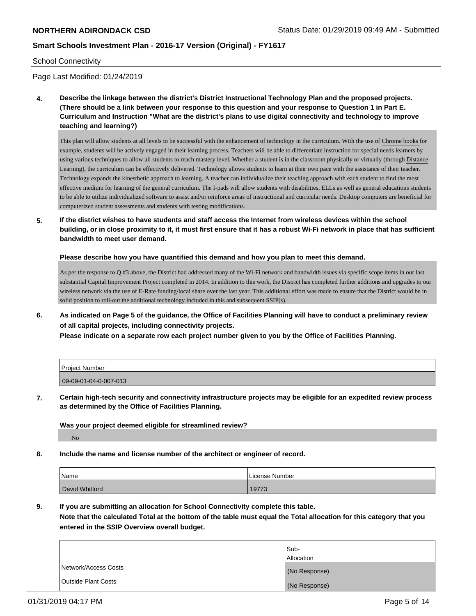#### School Connectivity

Page Last Modified: 01/24/2019

**4. Describe the linkage between the district's District Instructional Technology Plan and the proposed projects. (There should be a link between your response to this question and your response to Question 1 in Part E. Curriculum and Instruction "What are the district's plans to use digital connectivity and technology to improve teaching and learning?)**

This plan will allow students at all levels to be successful with the enhancement of technology in the curriculum. With the use of Chrome books for example, students will be actively engaged in their learning process. Teachers will be able to differentiate instruction for special needs learners by using various techniques to allow all students to reach mastery level. Whether a student is in the classroom physically or virtually (through Distance Learning), the curriculum can be effectively delivered. Technology allows students to learn at their own pace with the assistance of their teacher. Technology expands the kinesthetic approach to learning. A teacher can individualize their teaching approach with each student to find the most effective medium for learning of the general curriculum. The I-pads will allow students with disabilities, ELLs as well as general educations students to be able to utilize individualized software to assist and/or reinforce areas of instructional and curricular needs. Desktop computers are beneficial for computerized student assessments and students with testing modifications.

**5. If the district wishes to have students and staff access the Internet from wireless devices within the school building, or in close proximity to it, it must first ensure that it has a robust Wi-Fi network in place that has sufficient bandwidth to meet user demand.**

**Please describe how you have quantified this demand and how you plan to meet this demand.**

As per the response to Q.#3 above, the District had addressed many of the Wi-Fi network and bandwidth issues via specific scope items in our last substantial Capital Improvement Project completed in 2014. In addition to this work, the District has completed further additions and upgrades to our wireless network via the use of E-Rate funding/local share over the last year. This additional effort was made to ensure that the District would be in solid position to roll-out the additional technology included in this and subsequent SSIP(s).

**6. As indicated on Page 5 of the guidance, the Office of Facilities Planning will have to conduct a preliminary review of all capital projects, including connectivity projects.**

**Please indicate on a separate row each project number given to you by the Office of Facilities Planning.**

| Project Number        |  |
|-----------------------|--|
| 09-09-01-04-0-007-013 |  |

**7. Certain high-tech security and connectivity infrastructure projects may be eligible for an expedited review process as determined by the Office of Facilities Planning.**

**Was your project deemed eligible for streamlined review?**

No

**8. Include the name and license number of the architect or engineer of record.**

| Name           | License Number |
|----------------|----------------|
| David Whitford | 19773          |

**9. If you are submitting an allocation for School Connectivity complete this table.**

**Note that the calculated Total at the bottom of the table must equal the Total allocation for this category that you entered in the SSIP Overview overall budget.** 

|                            | Sub-              |
|----------------------------|-------------------|
|                            | <b>Allocation</b> |
| Network/Access Costs       | (No Response)     |
| <b>Outside Plant Costs</b> | (No Response)     |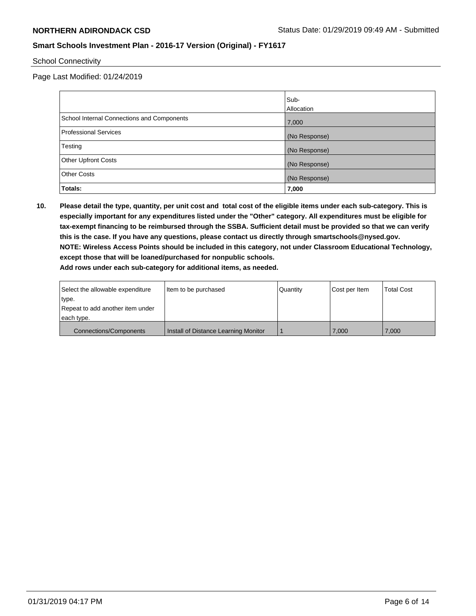School Connectivity

Page Last Modified: 01/24/2019

|                                            | Sub-          |
|--------------------------------------------|---------------|
|                                            | Allocation    |
| School Internal Connections and Components | 7,000         |
| Professional Services                      | (No Response) |
| Testing                                    | (No Response) |
| <b>Other Upfront Costs</b>                 | (No Response) |
| <b>Other Costs</b>                         | (No Response) |
| Totals:                                    | 7,000         |

**10. Please detail the type, quantity, per unit cost and total cost of the eligible items under each sub-category. This is especially important for any expenditures listed under the "Other" category. All expenditures must be eligible for tax-exempt financing to be reimbursed through the SSBA. Sufficient detail must be provided so that we can verify this is the case. If you have any questions, please contact us directly through smartschools@nysed.gov. NOTE: Wireless Access Points should be included in this category, not under Classroom Educational Technology, except those that will be loaned/purchased for nonpublic schools.**

**Add rows under each sub-category for additional items, as needed.**

| Select the allowable expenditure | Item to be purchased                 | l Quantitv | Cost per Item | <b>Total Cost</b> |
|----------------------------------|--------------------------------------|------------|---------------|-------------------|
| type.                            |                                      |            |               |                   |
| Repeat to add another item under |                                      |            |               |                   |
| each type.                       |                                      |            |               |                   |
| <b>Connections/Components</b>    | Install of Distance Learning Monitor |            | 7.000         | 7.000             |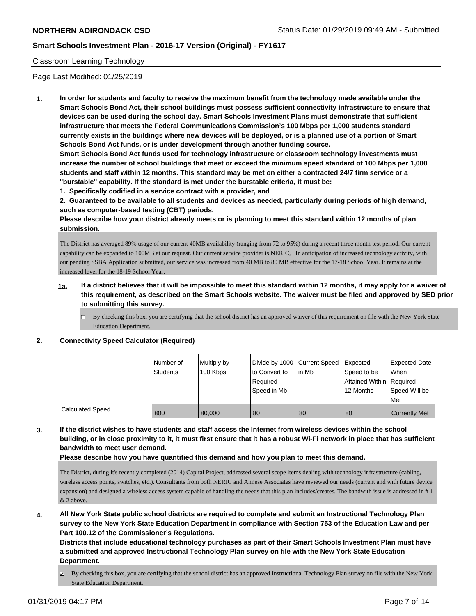#### Classroom Learning Technology

Page Last Modified: 01/25/2019

**1. In order for students and faculty to receive the maximum benefit from the technology made available under the Smart Schools Bond Act, their school buildings must possess sufficient connectivity infrastructure to ensure that devices can be used during the school day. Smart Schools Investment Plans must demonstrate that sufficient infrastructure that meets the Federal Communications Commission's 100 Mbps per 1,000 students standard currently exists in the buildings where new devices will be deployed, or is a planned use of a portion of Smart Schools Bond Act funds, or is under development through another funding source.**

**Smart Schools Bond Act funds used for technology infrastructure or classroom technology investments must increase the number of school buildings that meet or exceed the minimum speed standard of 100 Mbps per 1,000 students and staff within 12 months. This standard may be met on either a contracted 24/7 firm service or a "burstable" capability. If the standard is met under the burstable criteria, it must be:**

**1. Specifically codified in a service contract with a provider, and**

**2. Guaranteed to be available to all students and devices as needed, particularly during periods of high demand, such as computer-based testing (CBT) periods.**

**Please describe how your district already meets or is planning to meet this standard within 12 months of plan submission.**

The District has averaged 89% usage of our current 40MB availability (ranging from 72 to 95%) during a recent three month test period. Our current capability can be expanded to 100MB at our request. Our current service provider is NERIC, In anticipation of increased technology activity, with our pending SSBA Application submitted, our service was increased from 40 MB to 80 MB effective for the 17-18 School Year. It remains at the increased level for the 18-19 School Year.

- **1a. If a district believes that it will be impossible to meet this standard within 12 months, it may apply for a waiver of this requirement, as described on the Smart Schools website. The waiver must be filed and approved by SED prior to submitting this survey.**
	- By checking this box, you are certifying that the school district has an approved waiver of this requirement on file with the New York State Education Department.

#### **2. Connectivity Speed Calculator (Required)**

|                         | l Number of     | Multiply by |               | Divide by 1000 Current Speed Expected |                          | Expected Date        |
|-------------------------|-----------------|-------------|---------------|---------------------------------------|--------------------------|----------------------|
|                         | <b>Students</b> | 100 Kbps    | to Convert to | l in Mb                               | Speed to be              | When                 |
|                         |                 |             | Required      |                                       | Attained Within Required |                      |
|                         |                 |             | Speed in Mb   |                                       | 12 Months                | Speed Will be        |
|                         |                 |             |               |                                       |                          | Met                  |
| <b>Calculated Speed</b> | 800             | 80,000      | 80            | 80                                    | 80                       | <b>Currently Met</b> |

**3. If the district wishes to have students and staff access the Internet from wireless devices within the school building, or in close proximity to it, it must first ensure that it has a robust Wi-Fi network in place that has sufficient bandwidth to meet user demand.**

**Please describe how you have quantified this demand and how you plan to meet this demand.**

The District, during it's recently completed (2014) Capital Project, addressed several scope items dealing with technology infrastructure (cabling, wireless access points, switches, etc.). Consultants from both NERIC and Annese Associates have reviewed our needs (current and with future device expansion) and designed a wireless access system capable of handling the needs that this plan includes/creates. The bandwith issue is addressed in # 1 & 2 above.

**4. All New York State public school districts are required to complete and submit an Instructional Technology Plan survey to the New York State Education Department in compliance with Section 753 of the Education Law and per Part 100.12 of the Commissioner's Regulations.**

**Districts that include educational technology purchases as part of their Smart Schools Investment Plan must have a submitted and approved Instructional Technology Plan survey on file with the New York State Education Department.**

By checking this box, you are certifying that the school district has an approved Instructional Technology Plan survey on file with the New York State Education Department.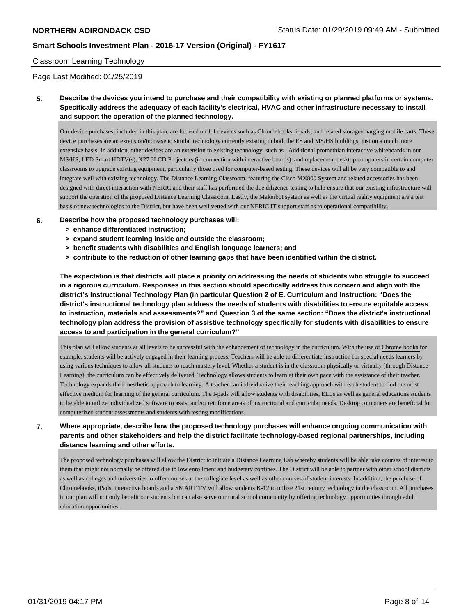#### Classroom Learning Technology

Page Last Modified: 01/25/2019

**5. Describe the devices you intend to purchase and their compatibility with existing or planned platforms or systems. Specifically address the adequacy of each facility's electrical, HVAC and other infrastructure necessary to install and support the operation of the planned technology.**

Our device purchases, included in this plan, are focused on 1:1 devices such as Chromebooks, i-pads, and related storage/charging mobile carts. These device purchases are an extension/increase to similar technology currently existing in both the ES and MS/HS buildings, just on a much more extensive basis. In addition, other devices are an extension to existing technology, such as : Additional promethian interactive whiteboards in our MS/HS, LED Smart HDTV(s), X27 3LCD Projectors (in connection with interactive boards), and replacement desktop computers in certain computer classrooms to upgrade existing equipment, particularly those used for computer-based testing. These devices will all be very compatible to and integrate well with existing technology. The Distance Learning Classroom, featuring the Cisco MX800 System and related accessories has been designed with direct interaction with NERIC and their staff has performed the due diligence testing to help ensure that our existing infrastructure will support the operation of the proposed Distance Learning Classroom. Lastly, the Makerbot system as well as the virtual reality equipment are a test basis of new technologies to the District, but have been well vetted with our NERIC IT support staff as to operational compatibility.

- **6. Describe how the proposed technology purchases will:**
	- **> enhance differentiated instruction;**
	- **> expand student learning inside and outside the classroom;**
	- **> benefit students with disabilities and English language learners; and**
	- **> contribute to the reduction of other learning gaps that have been identified within the district.**

**The expectation is that districts will place a priority on addressing the needs of students who struggle to succeed in a rigorous curriculum. Responses in this section should specifically address this concern and align with the district's Instructional Technology Plan (in particular Question 2 of E. Curriculum and Instruction: "Does the district's instructional technology plan address the needs of students with disabilities to ensure equitable access to instruction, materials and assessments?" and Question 3 of the same section: "Does the district's instructional technology plan address the provision of assistive technology specifically for students with disabilities to ensure access to and participation in the general curriculum?"**

This plan will allow students at all levels to be successful with the enhancement of technology in the curriculum. With the use of Chrome books for example, students will be actively engaged in their learning process. Teachers will be able to differentiate instruction for special needs learners by using various techniques to allow all students to reach mastery level. Whether a student is in the classroom physically or virtually (through Distance Learning), the curriculum can be effectively delivered. Technology allows students to learn at their own pace with the assistance of their teacher. Technology expands the kinesthetic approach to learning. A teacher can individualize their teaching approach with each student to find the most effective medium for learning of the general curriculum. The I-pads will allow students with disabilities, ELLs as well as general educations students to be able to utilize individualized software to assist and/or reinforce areas of instructional and curricular needs. Desktop computers are beneficial for computerized student assessments and students with testing modifications.

# **7. Where appropriate, describe how the proposed technology purchases will enhance ongoing communication with parents and other stakeholders and help the district facilitate technology-based regional partnerships, including distance learning and other efforts.**

The proposed technology purchases will allow the District to initiate a Distance Learning Lab whereby students will be able take courses of interest to them that might not normally be offered due to low enrollment and budgetary confines. The District will be able to partner with other school districts as well as colleges and universities to offer courses at the collegiate level as well as other courses of student interests. In addition, the purchase of Chromebooks, iPads, interactive boards and a SMART TV will allow students K-12 to utilize 21st century technology in the classroom. All purchases in our plan will not only benefit our students but can also serve our rural school community by offering technology opportunities through adult education opportunities.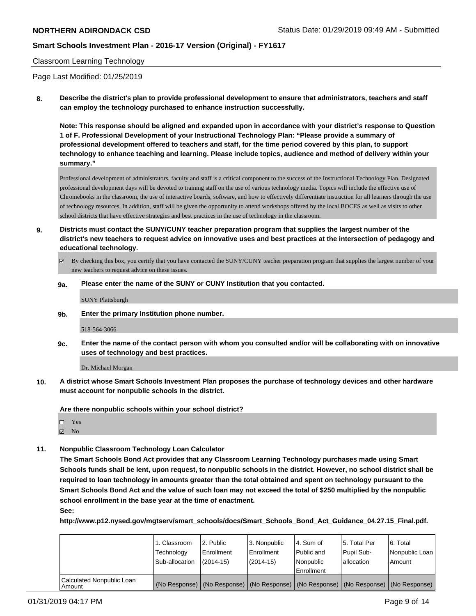#### Classroom Learning Technology

Page Last Modified: 01/25/2019

**8. Describe the district's plan to provide professional development to ensure that administrators, teachers and staff can employ the technology purchased to enhance instruction successfully.**

**Note: This response should be aligned and expanded upon in accordance with your district's response to Question 1 of F. Professional Development of your Instructional Technology Plan: "Please provide a summary of professional development offered to teachers and staff, for the time period covered by this plan, to support technology to enhance teaching and learning. Please include topics, audience and method of delivery within your summary."**

Professional development of administrators, faculty and staff is a critical component to the success of the Instructional Technology Plan. Designated professional development days will be devoted to training staff on the use of various technology media. Topics will include the effective use of Chromebooks in the classroom, the use of interactive boards, software, and how to effectively differentiate instruction for all learners through the use of technology resources. In addition, staff will be given the opportunity to attend workshops offered by the local BOCES as well as visits to other school districts that have effective strategies and best practices in the use of technology in the classroom.

- **9. Districts must contact the SUNY/CUNY teacher preparation program that supplies the largest number of the district's new teachers to request advice on innovative uses and best practices at the intersection of pedagogy and educational technology.**
	- By checking this box, you certify that you have contacted the SUNY/CUNY teacher preparation program that supplies the largest number of your new teachers to request advice on these issues.
	- **9a. Please enter the name of the SUNY or CUNY Institution that you contacted.**

SUNY Plattsburgh

**9b. Enter the primary Institution phone number.**

518-564-3066

**9c. Enter the name of the contact person with whom you consulted and/or will be collaborating with on innovative uses of technology and best practices.**

Dr. Michael Morgan

**10. A district whose Smart Schools Investment Plan proposes the purchase of technology devices and other hardware must account for nonpublic schools in the district.**

**Are there nonpublic schools within your school district?**

Yes

 $\blacksquare$  No

**11. Nonpublic Classroom Technology Loan Calculator**

**The Smart Schools Bond Act provides that any Classroom Learning Technology purchases made using Smart Schools funds shall be lent, upon request, to nonpublic schools in the district. However, no school district shall be required to loan technology in amounts greater than the total obtained and spent on technology pursuant to the Smart Schools Bond Act and the value of such loan may not exceed the total of \$250 multiplied by the nonpublic school enrollment in the base year at the time of enactment.**

**See:**

**http://www.p12.nysed.gov/mgtserv/smart\_schools/docs/Smart\_Schools\_Bond\_Act\_Guidance\_04.27.15\_Final.pdf.**

|                                       | 1. Classroom<br>Technology<br>Sub-allocation | 2. Public<br>l Enrollment<br>$(2014 - 15)$ | l 3. Nonpublic<br>Enrollment<br>(2014-15) | 14. Sum of<br>Public and<br>l Nonpublic<br>Enrollment | l 5. Total Per<br>Pupil Sub-<br>allocation | l 6. Total<br>Nonpublic Loan<br>l Amount                                                      |
|---------------------------------------|----------------------------------------------|--------------------------------------------|-------------------------------------------|-------------------------------------------------------|--------------------------------------------|-----------------------------------------------------------------------------------------------|
| Calculated Nonpublic Loan<br>l Amount |                                              |                                            |                                           |                                                       |                                            | (No Response)   (No Response)   (No Response)   (No Response)   (No Response)   (No Response) |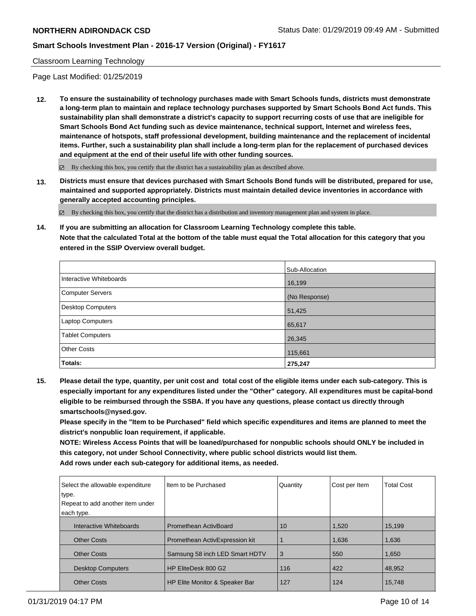#### Classroom Learning Technology

Page Last Modified: 01/25/2019

**12. To ensure the sustainability of technology purchases made with Smart Schools funds, districts must demonstrate a long-term plan to maintain and replace technology purchases supported by Smart Schools Bond Act funds. This sustainability plan shall demonstrate a district's capacity to support recurring costs of use that are ineligible for Smart Schools Bond Act funding such as device maintenance, technical support, Internet and wireless fees, maintenance of hotspots, staff professional development, building maintenance and the replacement of incidental items. Further, such a sustainability plan shall include a long-term plan for the replacement of purchased devices and equipment at the end of their useful life with other funding sources.**

By checking this box, you certify that the district has a sustainability plan as described above.

**13. Districts must ensure that devices purchased with Smart Schools Bond funds will be distributed, prepared for use, maintained and supported appropriately. Districts must maintain detailed device inventories in accordance with generally accepted accounting principles.**

By checking this box, you certify that the district has a distribution and inventory management plan and system in place.

**14. If you are submitting an allocation for Classroom Learning Technology complete this table. Note that the calculated Total at the bottom of the table must equal the Total allocation for this category that you entered in the SSIP Overview overall budget.**

|                          | Sub-Allocation |
|--------------------------|----------------|
| Interactive Whiteboards  | 16,199         |
| Computer Servers         | (No Response)  |
| <b>Desktop Computers</b> | 51,425         |
| <b>Laptop Computers</b>  | 65,617         |
| <b>Tablet Computers</b>  | 26,345         |
| <b>Other Costs</b>       | 115,661        |
| Totals:                  | 275,247        |

**15. Please detail the type, quantity, per unit cost and total cost of the eligible items under each sub-category. This is especially important for any expenditures listed under the "Other" category. All expenditures must be capital-bond eligible to be reimbursed through the SSBA. If you have any questions, please contact us directly through smartschools@nysed.gov.**

**Please specify in the "Item to be Purchased" field which specific expenditures and items are planned to meet the district's nonpublic loan requirement, if applicable.**

**NOTE: Wireless Access Points that will be loaned/purchased for nonpublic schools should ONLY be included in this category, not under School Connectivity, where public school districts would list them.**

**Add rows under each sub-category for additional items, as needed.**

| Select the allowable expenditure<br>type.<br>Repeat to add another item under<br>each type. | Item to be Purchased           | Quantity | Cost per Item | <b>Total Cost</b> |
|---------------------------------------------------------------------------------------------|--------------------------------|----------|---------------|-------------------|
| Interactive Whiteboards                                                                     | <b>Promethean ActivBoard</b>   | 10       | 1,520         | 15,199            |
| <b>Other Costs</b>                                                                          | Promethean ActivExpression kit |          | 1,636         | 1,636             |
| <b>Other Costs</b>                                                                          | Samsung 58 inch LED Smart HDTV | 3        | 550           | 1,650             |
| <b>Desktop Computers</b>                                                                    | HP EliteDesk 800 G2            | 116      | 422           | 48,952            |
| <b>Other Costs</b>                                                                          | HP Elite Monitor & Speaker Bar | 127      | 124           | 15,748            |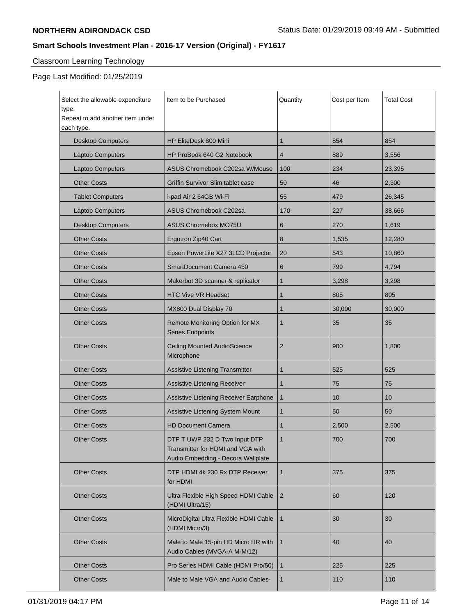# Classroom Learning Technology

| Select the allowable expenditure<br>type.<br>Repeat to add another item under | Item to be Purchased                                                                                     | Quantity       | Cost per Item | <b>Total Cost</b> |
|-------------------------------------------------------------------------------|----------------------------------------------------------------------------------------------------------|----------------|---------------|-------------------|
| each type.                                                                    |                                                                                                          |                |               |                   |
| <b>Desktop Computers</b>                                                      | HP EliteDesk 800 Mini                                                                                    | 1              | 854           | 854               |
| <b>Laptop Computers</b>                                                       | HP ProBook 640 G2 Notebook                                                                               | 4              | 889           | 3,556             |
| <b>Laptop Computers</b>                                                       | ASUS Chromebook C202sa W/Mouse                                                                           | 100            | 234           | 23,395            |
| <b>Other Costs</b>                                                            | Griffin Survivor Slim tablet case                                                                        | 50             | 46            | 2,300             |
| <b>Tablet Computers</b>                                                       | i-pad Air 2 64GB Wi-Fi                                                                                   | 55             | 479           | 26,345            |
| <b>Laptop Computers</b>                                                       | <b>ASUS Chromebook C202sa</b>                                                                            | 170            | 227           | 38,666            |
| <b>Desktop Computers</b>                                                      | <b>ASUS Chromebox MO75U</b>                                                                              | 6              | 270           | 1,619             |
| <b>Other Costs</b>                                                            | Ergotron Zip40 Cart                                                                                      | 8              | 1,535         | 12,280            |
| <b>Other Costs</b>                                                            | Epson PowerLite X27 3LCD Projector                                                                       | 20             | 543           | 10,860            |
| <b>Other Costs</b>                                                            | SmartDocument Camera 450                                                                                 | 6              | 799           | 4,794             |
| <b>Other Costs</b>                                                            | Makerbot 3D scanner & replicator                                                                         | 1              | 3,298         | 3,298             |
| <b>Other Costs</b>                                                            | <b>HTC Vive VR Headset</b>                                                                               | 1              | 805           | 805               |
| <b>Other Costs</b>                                                            | MX800 Dual Display 70                                                                                    | 1              | 30,000        | 30,000            |
| <b>Other Costs</b>                                                            | Remote Monitoring Option for MX<br><b>Series Endpoints</b>                                               | 1              | 35            | 35                |
| <b>Other Costs</b>                                                            | <b>Ceiling Mounted AudioScience</b><br>Microphone                                                        | $\overline{2}$ | 900           | 1,800             |
| <b>Other Costs</b>                                                            | Assistive Listening Transmitter                                                                          | 1              | 525           | 525               |
| <b>Other Costs</b>                                                            | Assistive Listening Receiver                                                                             | 1              | 75            | 75                |
| <b>Other Costs</b>                                                            | Assistive Listening Receiver Earphone                                                                    | 1              | 10            | 10                |
| <b>Other Costs</b>                                                            | Assistive Listening System Mount                                                                         | 1              | 50            | 50                |
| <b>Other Costs</b>                                                            | <b>HD Document Camera</b>                                                                                | 1              | 2,500         | 2,500             |
| <b>Other Costs</b>                                                            | DTP T UWP 232 D Two Input DTP<br>Transmitter for HDMI and VGA with<br>Audio Embedding - Decora Wallplate | 1              | 700           | 700               |
| <b>Other Costs</b>                                                            | DTP HDMI 4k 230 Rx DTP Receiver<br>for HDMI                                                              | $\mathbf{1}$   | 375           | 375               |
| <b>Other Costs</b>                                                            | Ultra Flexible High Speed HDMI Cable<br>(HDMI Ultra/15)                                                  | $\overline{2}$ | 60            | 120               |
| <b>Other Costs</b>                                                            | MicroDigital Ultra Flexible HDMI Cable<br>(HDMI Micro/3)                                                 | $\mathbf{1}$   | 30            | 30                |
| <b>Other Costs</b>                                                            | Male to Male 15-pin HD Micro HR with<br>Audio Cables (MVGA-A M-M/12)                                     | 1              | 40            | 40                |
| <b>Other Costs</b>                                                            | Pro Series HDMI Cable (HDMI Pro/50)                                                                      | $\mathbf{1}$   | 225           | 225               |
| <b>Other Costs</b>                                                            | Male to Male VGA and Audio Cables-                                                                       | 1              | 110           | 110               |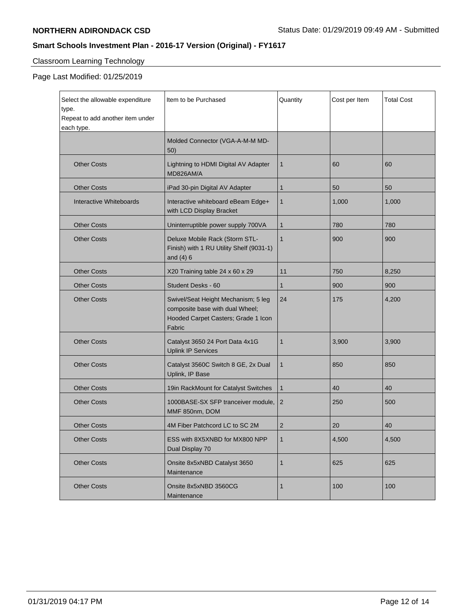# Classroom Learning Technology

| Select the allowable expenditure<br>type.<br>Repeat to add another item under<br>each type. | Item to be Purchased                                                                                                    | Quantity       | Cost per Item | <b>Total Cost</b> |
|---------------------------------------------------------------------------------------------|-------------------------------------------------------------------------------------------------------------------------|----------------|---------------|-------------------|
|                                                                                             | Molded Connector (VGA-A-M-M MD-<br>50)                                                                                  |                |               |                   |
| <b>Other Costs</b>                                                                          | Lightning to HDMI Digital AV Adapter<br>MD826AM/A                                                                       | 1              | 60            | 60                |
| <b>Other Costs</b>                                                                          | iPad 30-pin Digital AV Adapter                                                                                          | 1              | 50            | 50                |
| Interactive Whiteboards                                                                     | Interactive whiteboard eBeam Edge+<br>with LCD Display Bracket                                                          | 1              | 1,000         | 1,000             |
| <b>Other Costs</b>                                                                          | Uninterruptible power supply 700VA                                                                                      | $\mathbf{1}$   | 780           | 780               |
| <b>Other Costs</b>                                                                          | Deluxe Mobile Rack (Storm STL-<br>Finish) with 1 RU Utility Shelf (9031-1)<br>and $(4)$ 6                               | $\mathbf{1}$   | 900           | 900               |
| <b>Other Costs</b>                                                                          | X20 Training table 24 x 60 x 29                                                                                         | 11             | 750           | 8,250             |
| <b>Other Costs</b>                                                                          | Student Desks - 60                                                                                                      | 1              | 900           | 900               |
| <b>Other Costs</b>                                                                          | Swivel/Seat Height Mechanism; 5 leg<br>composite base with dual Wheel;<br>Hooded Carpet Casters; Grade 1 Icon<br>Fabric | 24             | 175           | 4,200             |
| <b>Other Costs</b>                                                                          | Catalyst 3650 24 Port Data 4x1G<br><b>Uplink IP Services</b>                                                            | 1              | 3,900         | 3,900             |
| <b>Other Costs</b>                                                                          | Catalyst 3560C Switch 8 GE, 2x Dual<br>Uplink, IP Base                                                                  | $\mathbf{1}$   | 850           | 850               |
| <b>Other Costs</b>                                                                          | 19in RackMount for Catalyst Switches                                                                                    | $\mathbf{1}$   | 40            | 40                |
| <b>Other Costs</b>                                                                          | 1000BASE-SX SFP tranceiver module,<br>MMF 850nm, DOM                                                                    | $\overline{2}$ | 250           | 500               |
| <b>Other Costs</b>                                                                          | 4M Fiber Patchcord LC to SC 2M                                                                                          | 2              | 20            | 40                |
| <b>Other Costs</b>                                                                          | ESS with 8X5XNBD for MX800 NPP<br>Dual Display 70                                                                       | $\mathbf{1}$   | 4,500         | 4,500             |
| <b>Other Costs</b>                                                                          | Onsite 8x5xNBD Catalyst 3650<br>Maintenance                                                                             | $\mathbf{1}$   | 625           | 625               |
| <b>Other Costs</b>                                                                          | Onsite 8x5xNBD 3560CG<br>Maintenance                                                                                    | 1              | 100           | 100               |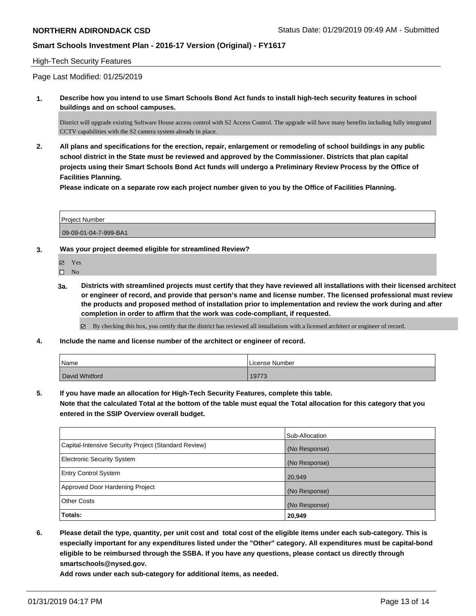#### High-Tech Security Features

Page Last Modified: 01/25/2019

**1. Describe how you intend to use Smart Schools Bond Act funds to install high-tech security features in school buildings and on school campuses.**

District will upgrade existing Software House access control with S2 Access Control. The upgrade will have many benefits including fully integrated CCTV capabilities with the S2 camera system already in place.

**2. All plans and specifications for the erection, repair, enlargement or remodeling of school buildings in any public school district in the State must be reviewed and approved by the Commissioner. Districts that plan capital projects using their Smart Schools Bond Act funds will undergo a Preliminary Review Process by the Office of Facilities Planning.** 

**Please indicate on a separate row each project number given to you by the Office of Facilities Planning.**

| <b>Project Number</b> |  |
|-----------------------|--|
| 09-09-01-04-7-999-BA1 |  |

**3. Was your project deemed eligible for streamlined Review?**

Yes

- $\square$  No
- **3a. Districts with streamlined projects must certify that they have reviewed all installations with their licensed architect or engineer of record, and provide that person's name and license number. The licensed professional must review the products and proposed method of installation prior to implementation and review the work during and after completion in order to affirm that the work was code-compliant, if requested.**

 $\boxtimes$  By checking this box, you certify that the district has reviewed all installations with a licensed architect or engineer of record.

**4. Include the name and license number of the architect or engineer of record.**

| Name           | License Number |
|----------------|----------------|
| David Whitford | 19773          |

**5. If you have made an allocation for High-Tech Security Features, complete this table.**

**Note that the calculated Total at the bottom of the table must equal the Total allocation for this category that you entered in the SSIP Overview overall budget.**

|                                                      | Sub-Allocation |
|------------------------------------------------------|----------------|
| Capital-Intensive Security Project (Standard Review) | (No Response)  |
| <b>Electronic Security System</b>                    | (No Response)  |
| <b>Entry Control System</b>                          | 20,949         |
| Approved Door Hardening Project                      | (No Response)  |
| <b>Other Costs</b>                                   | (No Response)  |
| Totals:                                              | 20,949         |

**6. Please detail the type, quantity, per unit cost and total cost of the eligible items under each sub-category. This is especially important for any expenditures listed under the "Other" category. All expenditures must be capital-bond eligible to be reimbursed through the SSBA. If you have any questions, please contact us directly through smartschools@nysed.gov.**

**Add rows under each sub-category for additional items, as needed.**